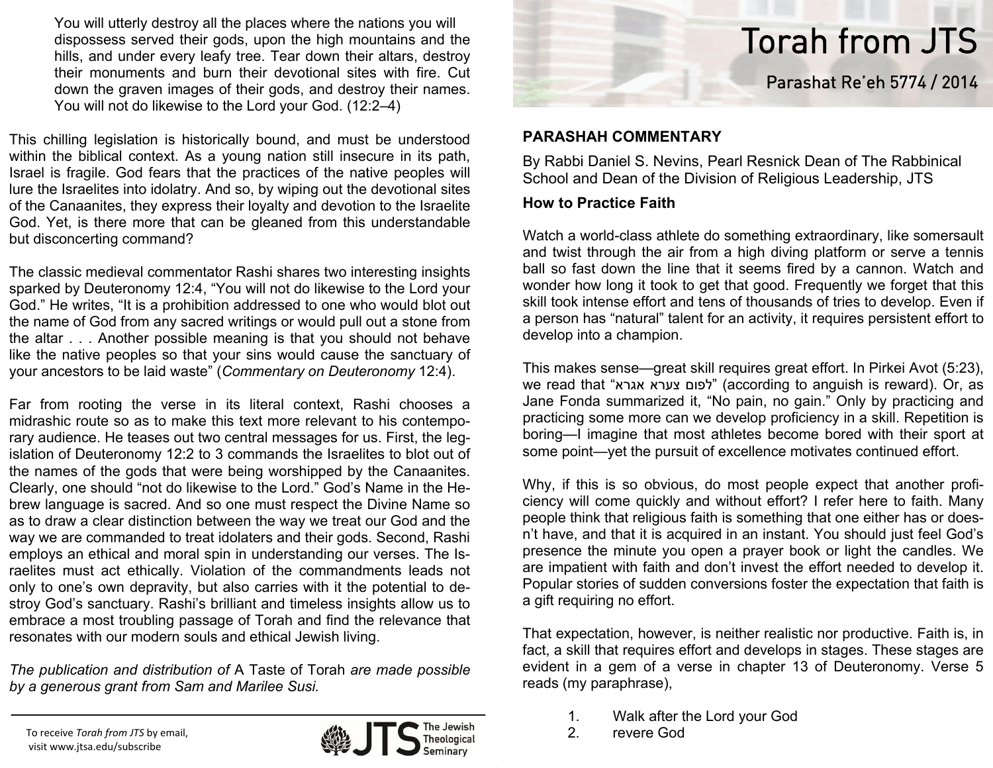You will utterly destroy all the places where the nations you will dispossess served their gods, upon the high mountains and the hills, and under every leafy tree. Tear down their altars, destroy their monuments and burn their devotional sites with fire. Cut down the graven images of their gods, and destroy their names. You will not do likewise to the Lord your God. (12:2–4)

This chilling legislation is historically bound, and must be understood within the biblical context. As a young nation still insecure in its path, Israel is fragile. God fears that the practices of the native peoples will lure the Israelites into idolatry. And so, by wiping out the devotional sites of the Canaanites, they express their loyalty and devotion to the Israelite God. Yet, is there more that can be gleaned from this understandable but disconcerting command?

The classic medieval commentator Rashi shares two interesting insights sparked by Deuteronomy 12:4, "You will not do likewise to the Lord your God." He writes, "It is a prohibition addressed to one who would blot out the name of God from any sacred writings or would pull out a stone from the altar . . . Another possible meaning is that you should not behave like the native peoples so that your sins would cause the sanctuary of your ancestors to be laid waste" (*Commentary on Deuteronomy* 12:4).

Far from rooting the verse in its literal context, Rashi chooses a midrashic route so as to make this text more relevant to his contemporary audience. He teases out two central messages for us. First, the legislation of Deuteronomy 12:2 to 3 commands the Israelites to blot out of the names of the gods that were being worshipped by the Canaanites. Clearly, one should "not do likewise to the Lord." God's Name in the Hebrew language is sacred. And so one must respect the Divine Name so as to draw a clear distinction between the way we treat our God and the way we are commanded to treat idolaters and their gods. Second, Rashi employs an ethical and moral spin in understanding our verses. The Israelites must act ethically. Violation of the commandments leads not only to one's own depravity, but also carries with it the potential to destroy God's sanctuary. Rashi's brilliant and timeless insights allow us to embrace a most troubling passage of Torah and find the relevance that resonates with our modern souls and ethical Jewish living.

*The publication and distribution of* A Taste of Torah *are made possible by a generous grant from Sam and Marilee Susi.*

To receive *Torah from JTS* by email, visit www.jtsa.edu/subscribe





## **PARASHAH COMMENTARY**

By Rabbi Daniel S. Nevins, Pearl Resnick Dean of The Rabbinical School and Dean of the Division of Religious Leadership, JTS

## **How to Practice Faith**

Watch a world-class athlete do something extraordinary, like somersault and twist through the air from a high diving platform or serve a tennis ball so fast down the line that it seems fired by a cannon. Watch and wonder how long it took to get that good. Frequently we forget that this skill took intense effort and tens of thousands of tries to develop. Even if a person has "natural" talent for an activity, it requires persistent effort to develop into a champion.

This makes sense—great skill requires great effort. In Pirkei Avot (5:23), we read that "אגרא צערא לפום) "according to anguish is reward). Or, as Jane Fonda summarized it, "No pain, no gain." Only by practicing and practicing some more can we develop proficiency in a skill. Repetition is boring—I imagine that most athletes become bored with their sport at some point—yet the pursuit of excellence motivates continued effort.

Why, if this is so obvious, do most people expect that another proficiency will come quickly and without effort? I refer here to faith. Many people think that religious faith is something that one either has or does<sup>n</sup>'t have, and that it is acquired in an instant. You should just feel God's presence the minute you open a prayer book or light the candles. We are impatient with faith and don't invest the effort needed to develop it. Popular stories of sudden conversions foster the expectation that faith is a gift requiring no effort.

That expectation, however, is neither realistic nor productive. Faith is, in fact, a skill that requires effort and develops in stages. These stages are evident in a gem of a verse in chapter 13 of Deuteronomy. Verse 5 reads (my paraphrase),

- 1. Walk after the Lord your God
- 2. revere God